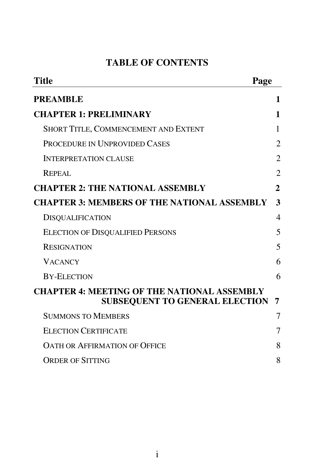# **TABLE OF CONTENTS**

| <b>Title</b><br>Page                                                                        |              |
|---------------------------------------------------------------------------------------------|--------------|
| <b>PREAMBLE</b>                                                                             | 1            |
| <b>CHAPTER 1: PRELIMINARY</b>                                                               | 1            |
| SHORT TITLE, COMMENCEMENT AND EXTENT                                                        | 1            |
| PROCEDURE IN UNPROVIDED CASES                                                               | 2            |
| <b>INTERPRETATION CLAUSE</b>                                                                | 2            |
| <b>REPEAL</b>                                                                               | 2            |
| <b>CHAPTER 2: THE NATIONAL ASSEMBLY</b>                                                     | $\mathbf{2}$ |
| <b>CHAPTER 3: MEMBERS OF THE NATIONAL ASSEMBLY</b>                                          | 3            |
| <b>DISQUALIFICATION</b>                                                                     | 4            |
| <b>ELECTION OF DISQUALIFIED PERSONS</b>                                                     | 5            |
| <b>RESIGNATION</b>                                                                          | 5            |
| <b>VACANCY</b>                                                                              | 6            |
| <b>BY-ELECTION</b>                                                                          | 6            |
| <b>CHAPTER 4: MEETING OF THE NATIONAL ASSEMBLY</b><br><b>SUBSEQUENT TO GENERAL ELECTION</b> | 7            |
| <b>SUMMONS TO MEMBERS</b>                                                                   | 7            |
| <b>ELECTION CERTIFICATE</b>                                                                 | 7            |
| <b>OATH OR AFFIRMATION OF OFFICE</b>                                                        | 8            |
| <b>ORDER OF SITTING</b>                                                                     | 8            |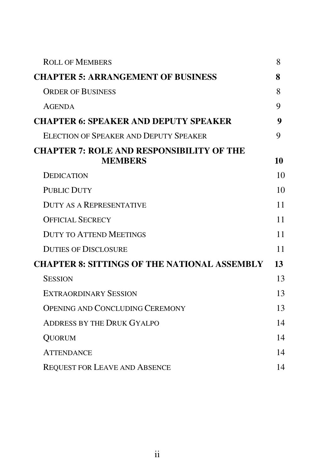| <b>ROLL OF MEMBERS</b>                                             | 8  |
|--------------------------------------------------------------------|----|
| <b>CHAPTER 5: ARRANGEMENT OF BUSINESS</b>                          | 8  |
| <b>ORDER OF BUSINESS</b>                                           | 8  |
| <b>AGENDA</b>                                                      | 9  |
| <b>CHAPTER 6: SPEAKER AND DEPUTY SPEAKER</b>                       | 9  |
| ELECTION OF SPEAKER AND DEPUTY SPEAKER                             | 9  |
| <b>CHAPTER 7: ROLE AND RESPONSIBILITY OF THE</b><br><b>MEMBERS</b> | 10 |
| <b>DEDICATION</b>                                                  | 10 |
| <b>PUBLIC DUTY</b>                                                 | 10 |
| <b>DUTY AS A REPRESENTATIVE</b>                                    | 11 |
| <b>OFFICIAL SECRECY</b>                                            | 11 |
| <b>DUTY TO ATTEND MEETINGS</b>                                     | 11 |
| <b>DUTIES OF DISCLOSURE</b>                                        | 11 |
| <b>CHAPTER 8: SITTINGS OF THE NATIONAL ASSEMBLY</b>                | 13 |
| <b>SESSION</b>                                                     | 13 |
| <b>EXTRAORDINARY SESSION</b>                                       | 13 |
| <b>OPENING AND CONCLUDING CEREMONY</b>                             | 13 |
| <b>ADDRESS BY THE DRUK GYALPO</b>                                  | 14 |
| <b>QUORUM</b>                                                      | 14 |
| <b>ATTENDANCE</b>                                                  | 14 |
| <b>REQUEST FOR LEAVE AND ABSENCE</b>                               | 14 |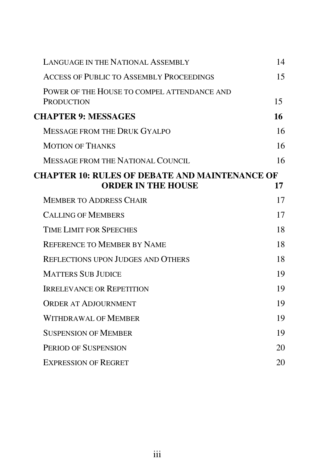| <b>LANGUAGE IN THE NATIONAL ASSEMBLY</b>                                           | 14 |
|------------------------------------------------------------------------------------|----|
| <b>ACCESS OF PUBLIC TO ASSEMBLY PROCEEDINGS</b>                                    | 15 |
| POWER OF THE HOUSE TO COMPEL ATTENDANCE AND<br><b>PRODUCTION</b>                   | 15 |
| <b>CHAPTER 9: MESSAGES</b>                                                         | 16 |
| <b>MESSAGE FROM THE DRUK GYALPO</b>                                                | 16 |
| <b>MOTION OF THANKS</b>                                                            | 16 |
| <b>MESSAGE FROM THE NATIONAL COUNCIL</b>                                           | 16 |
| <b>CHAPTER 10: RULES OF DEBATE AND MAINTENANCE OF</b><br><b>ORDER IN THE HOUSE</b> | 17 |
| <b>MEMBER TO ADDRESS CHAIR</b>                                                     | 17 |
| <b>CALLING OF MEMBERS</b>                                                          | 17 |
| <b>TIME LIMIT FOR SPEECHES</b>                                                     | 18 |
| <b>REFERENCE TO MEMBER BY NAME</b>                                                 | 18 |
| <b>REFLECTIONS UPON JUDGES AND OTHERS</b>                                          | 18 |
| <b>MATTERS SUB JUDICE</b>                                                          | 19 |
| <b>IRRELEVANCE OR REPETITION</b>                                                   | 19 |
| <b>ORDER AT ADJOURNMENT</b>                                                        | 19 |
| WITHDRAWAL OF MEMBER                                                               | 19 |
| <b>SUSPENSION OF MEMBER</b>                                                        | 19 |
| PERIOD OF SUSPENSION                                                               | 20 |
| <b>EXPRESSION OF REGRET</b>                                                        | 20 |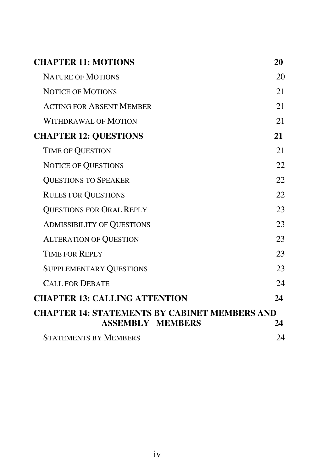| <b>CHAPTER 11: MOTIONS</b>                           | 20 |
|------------------------------------------------------|----|
| <b>NATURE OF MOTIONS</b>                             | 20 |
| <b>NOTICE OF MOTIONS</b>                             | 21 |
| <b>ACTING FOR ABSENT MEMBER</b>                      | 21 |
| <b>WITHDRAWAL OF MOTION</b>                          | 21 |
| <b>CHAPTER 12: QUESTIONS</b>                         | 21 |
| TIME OF QUESTION                                     | 21 |
| <b>NOTICE OF QUESTIONS</b>                           | 22 |
| <b>QUESTIONS TO SPEAKER</b>                          | 22 |
| <b>RULES FOR QUESTIONS</b>                           | 22 |
| <b>QUESTIONS FOR ORAL REPLY</b>                      | 23 |
| <b>ADMISSIBILITY OF QUESTIONS</b>                    | 23 |
| <b>ALTERATION OF QUESTION</b>                        | 23 |
| TIME FOR REPLY                                       | 23 |
| SUPPLEMENTARY QUESTIONS                              | 23 |
| <b>CALL FOR DEBATE</b>                               | 24 |
| <b>CHAPTER 13: CALLING ATTENTION</b>                 | 24 |
| <b>CHAPTER 14: STATEMENTS BY CABINET MEMBERS AND</b> |    |
| <b>ASSEMBLY MEMBERS</b>                              | 24 |
| <b>STATEMENTS BY MEMBERS</b>                         | 24 |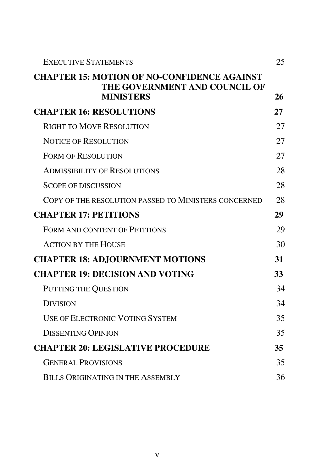| <b>EXECUTIVE STATEMENTS</b>                                                                             | 25 |
|---------------------------------------------------------------------------------------------------------|----|
| <b>CHAPTER 15: MOTION OF NO-CONFIDENCE AGAINST</b><br>THE GOVERNMENT AND COUNCIL OF<br><b>MINISTERS</b> | 26 |
| <b>CHAPTER 16: RESOLUTIONS</b>                                                                          | 27 |
| <b>RIGHT TO MOVE RESOLUTION</b>                                                                         | 27 |
| <b>NOTICE OF RESOLUTION</b>                                                                             | 27 |
| <b>FORM OF RESOLUTION</b>                                                                               | 27 |
| <b>ADMISSIBILITY OF RESOLUTIONS</b>                                                                     | 28 |
| <b>SCOPE OF DISCUSSION</b>                                                                              | 28 |
| COPY OF THE RESOLUTION PASSED TO MINISTERS CONCERNED                                                    | 28 |
| <b>CHAPTER 17: PETITIONS</b>                                                                            | 29 |
| <b>FORM AND CONTENT OF PETITIONS</b>                                                                    | 29 |
| <b>ACTION BY THE HOUSE</b>                                                                              | 30 |
| <b>CHAPTER 18: ADJOURNMENT MOTIONS</b>                                                                  | 31 |
| <b>CHAPTER 19: DECISION AND VOTING</b>                                                                  | 33 |
| PUTTING THE QUESTION                                                                                    | 34 |
| <b>DIVISION</b>                                                                                         | 34 |
| <b>USE OF ELECTRONIC VOTING SYSTEM</b>                                                                  | 35 |
| <b>DISSENTING OPINION</b>                                                                               | 35 |
| <b>CHAPTER 20: LEGISLATIVE PROCEDURE</b>                                                                | 35 |
| <b>GENERAL PROVISIONS</b>                                                                               | 35 |
| BILLS ORIGINATING IN THE ASSEMBLY                                                                       | 36 |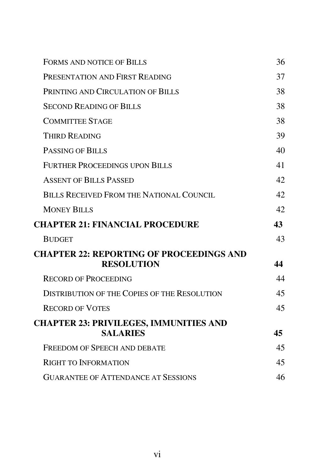| <b>FORMS AND NOTICE OF BILLS</b>                                     | 36              |
|----------------------------------------------------------------------|-----------------|
| PRESENTATION AND FIRST READING                                       | 37              |
| PRINTING AND CIRCULATION OF BILLS                                    | 38              |
| <b>SECOND READING OF BILLS</b>                                       | 38              |
| <b>COMMITTEE STAGE</b>                                               | 38              |
| <b>THIRD READING</b>                                                 | 39              |
| PASSING OF BILLS                                                     | 40              |
| <b>FURTHER PROCEEDINGS UPON BILLS</b>                                | 41              |
| <b>ASSENT OF BILLS PASSED</b>                                        | 42              |
| <b>BILLS RECEIVED FROM THE NATIONAL COUNCIL</b>                      | 42              |
| <b>MONEY BILLS</b>                                                   | 42 <sub>1</sub> |
| <b>CHAPTER 21: FINANCIAL PROCEDURE</b>                               | 43              |
| <b>BUDGET</b>                                                        | 43              |
| <b>CHAPTER 22: REPORTING OF PROCEEDINGS AND</b><br><b>RESOLUTION</b> | 44              |
| <b>RECORD OF PROCEEDING</b>                                          | 44              |
| <b>DISTRIBUTION OF THE COPIES OF THE RESOLUTION</b>                  | 45              |
| <b>RECORD OF VOTES</b>                                               | 45              |
|                                                                      |                 |
| <b>CHAPTER 23: PRIVILEGES, IMMUNITIES AND</b>                        |                 |
| <b>SALARIES</b>                                                      | 45              |
| <b>FREEDOM OF SPEECH AND DEBATE</b>                                  | 45              |
| <b>RIGHT TO INFORMATION</b>                                          | 45              |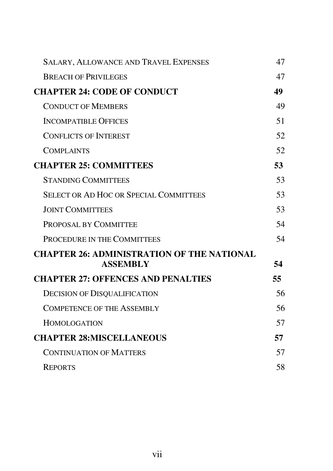| <b>SALARY, ALLOWANCE AND TRAVEL EXPENSES</b>                         | 47  |
|----------------------------------------------------------------------|-----|
| <b>BREACH OF PRIVILEGES</b>                                          | 47  |
| <b>CHAPTER 24: CODE OF CONDUCT</b>                                   | 49  |
| <b>CONDUCT OF MEMBERS</b>                                            | 49  |
| <b>INCOMPATIBLE OFFICES</b>                                          | 51  |
| <b>CONFLICTS OF INTEREST</b>                                         | 52  |
| <b>COMPLAINTS</b>                                                    | 52  |
| <b>CHAPTER 25: COMMITTEES</b>                                        | 53  |
| <b>STANDING COMMITTEES</b>                                           | 53  |
| <b>SELECT OR AD HOC OR SPECIAL COMMITTEES</b>                        | 53  |
| <b>JOINT COMMITTEES</b>                                              | 53  |
| PROPOSAL BY COMMITTEE                                                | 54  |
| PROCEDURE IN THE COMMITTEES                                          | 54  |
| <b>CHAPTER 26: ADMINISTRATION OF THE NATIONAL</b><br><b>ASSEMBLY</b> | 54  |
| <b>CHAPTER 27: OFFENCES AND PENALTIES</b>                            | 55. |
| <b>DECISION OF DISQUALIFICATION</b>                                  | 56  |
| <b>COMPETENCE OF THE ASSEMBLY</b>                                    | 56  |
| <b>HOMOLOGATION</b>                                                  | 57  |
| <b>CHAPTER 28:MISCELLANEOUS</b>                                      | 57  |
| <b>CONTINUATION OF MATTERS</b>                                       | 57  |
| <b>REPORTS</b>                                                       | 58  |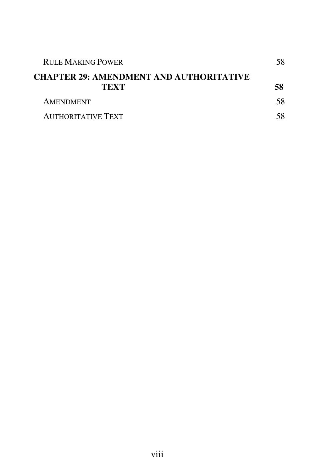| <b>RULE MAKING POWER</b><br><b>CHAPTER 29: AMENDMENT AND AUTHORITATIVE</b> |    |
|----------------------------------------------------------------------------|----|
|                                                                            |    |
| <b>AMENDMENT</b>                                                           | 58 |
| <b>AUTHORITATIVE TEXT</b>                                                  |    |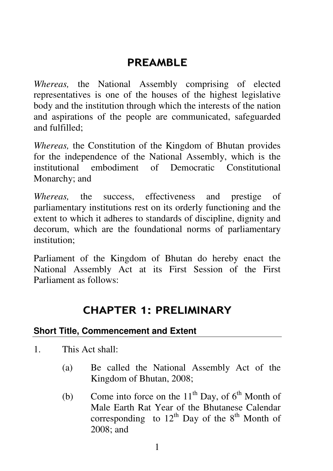# PREAMBLE

*Whereas,* the National Assembly comprising of elected representatives is one of the houses of the highest legislative body and the institution through which the interests of the nation and aspirations of the people are communicated, safeguarded and fulfilled;

*Whereas,* the Constitution of the Kingdom of Bhutan provides for the independence of the National Assembly, which is the institutional embodiment of Democratic Constitutional Monarchy; and

*Whereas,* the success, effectiveness and prestige of parliamentary institutions rest on its orderly functioning and the extent to which it adheres to standards of discipline, dignity and decorum, which are the foundational norms of parliamentary institution;

Parliament of the Kingdom of Bhutan do hereby enact the National Assembly Act at its First Session of the First Parliament as follows:

# CHAPTER 1: PRELIMINARY

# **Short Title, Commencement and Extent**

- 1. This Act shall:
	- (a) Be called the National Assembly Act of the Kingdom of Bhutan, 2008;
	- (b) Come into force on the  $11<sup>th</sup>$  Day, of  $6<sup>th</sup>$  Month of Male Earth Rat Year of the Bhutanese Calendar corresponding to  $12<sup>th</sup>$  Day of the  $8<sup>th</sup>$  Month of 2008; and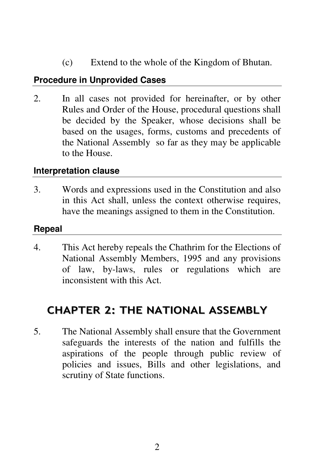(c) Extend to the whole of the Kingdom of Bhutan.

### **Procedure in Unprovided Cases**

2. In all cases not provided for hereinafter, or by other Rules and Order of the House, procedural questions shall be decided by the Speaker, whose decisions shall be based on the usages, forms, customs and precedents of the National Assembly so far as they may be applicable to the House.

### **Interpretation clause**

3. Words and expressions used in the Constitution and also in this Act shall, unless the context otherwise requires, have the meanings assigned to them in the Constitution.

### **Repeal**

4. This Act hereby repeals the Chathrim for the Elections of National Assembly Members, 1995 and any provisions of law, by-laws, rules or regulations which are inconsistent with this Act.

# CHAPTER 2: THE NATIONAL ASSEMBLY

5. The National Assembly shall ensure that the Government safeguards the interests of the nation and fulfills the aspirations of the people through public review of policies and issues, Bills and other legislations, and scrutiny of State functions.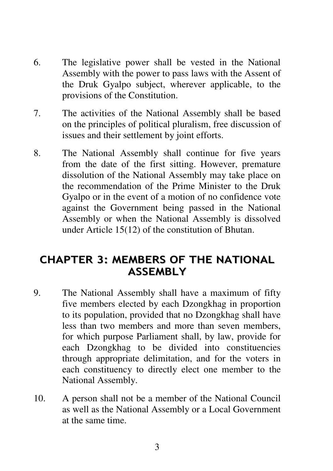- 6. The legislative power shall be vested in the National Assembly with the power to pass laws with the Assent of the Druk Gyalpo subject, wherever applicable, to the provisions of the Constitution.
- 7. The activities of the National Assembly shall be based on the principles of political pluralism, free discussion of issues and their settlement by joint efforts.
- 8. The National Assembly shall continue for five years from the date of the first sitting. However, premature dissolution of the National Assembly may take place on the recommendation of the Prime Minister to the Druk Gyalpo or in the event of a motion of no confidence vote against the Government being passed in the National Assembly or when the National Assembly is dissolved under Article 15(12) of the constitution of Bhutan.

# CHAPTER 3: MEMBERS OF THE NATIONAL ASSEMBLY

- 9. The National Assembly shall have a maximum of fifty five members elected by each Dzongkhag in proportion to its population, provided that no Dzongkhag shall have less than two members and more than seven members, for which purpose Parliament shall, by law, provide for each Dzongkhag to be divided into constituencies through appropriate delimitation, and for the voters in each constituency to directly elect one member to the National Assembly.
- 10. A person shall not be a member of the National Council as well as the National Assembly or a Local Government at the same time.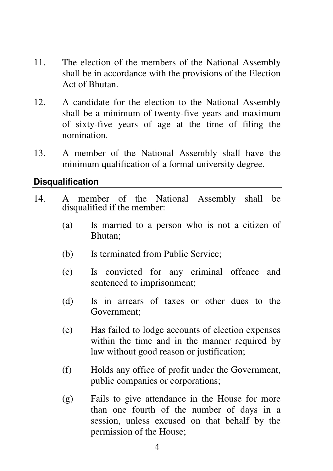- 11. The election of the members of the National Assembly shall be in accordance with the provisions of the Election Act of Bhutan.
- 12. A candidate for the election to the National Assembly shall be a minimum of twenty-five years and maximum of sixty-five years of age at the time of filing the nomination.
- 13. A member of the National Assembly shall have the minimum qualification of a formal university degree.

### **Disqualification**

- 14. A member of the National Assembly shall be disqualified if the member:
	- (a) Is married to a person who is not a citizen of Bhutan;
	- (b) Is terminated from Public Service;
	- (c) Is convicted for any criminal offence and sentenced to imprisonment;
	- (d) Is in arrears of taxes or other dues to the Government;
	- (e) Has failed to lodge accounts of election expenses within the time and in the manner required by law without good reason or justification;
	- (f) Holds any office of profit under the Government, public companies or corporations;
	- (g) Fails to give attendance in the House for more than one fourth of the number of days in a session, unless excused on that behalf by the permission of the House;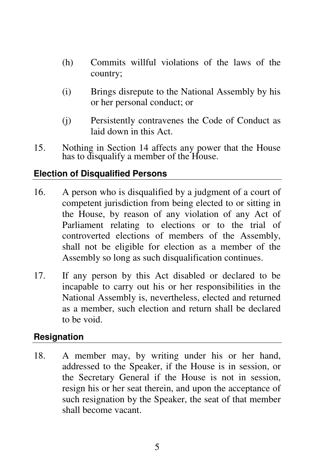- (h) Commits willful violations of the laws of the country;
- (i) Brings disrepute to the National Assembly by his or her personal conduct; or
- (j) Persistently contravenes the Code of Conduct as laid down in this Act.
- 15. Nothing in Section 14 affects any power that the House has to disqualify a member of the House.

# **Election of Disqualified Persons**

- 16. A person who is disqualified by a judgment of a court of competent jurisdiction from being elected to or sitting in the House, by reason of any violation of any Act of Parliament relating to elections or to the trial of controverted elections of members of the Assembly, shall not be eligible for election as a member of the Assembly so long as such disqualification continues.
- 17. If any person by this Act disabled or declared to be incapable to carry out his or her responsibilities in the National Assembly is, nevertheless, elected and returned as a member, such election and return shall be declared to be void.

### **Resignation**

18. A member may, by writing under his or her hand, addressed to the Speaker, if the House is in session, or the Secretary General if the House is not in session, resign his or her seat therein, and upon the acceptance of such resignation by the Speaker, the seat of that member shall become vacant.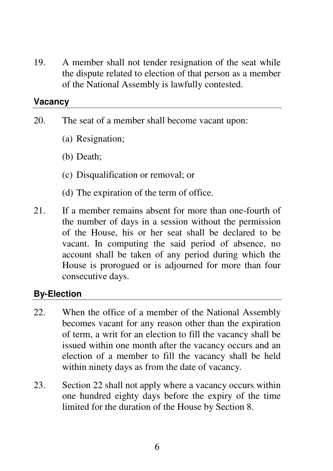19. A member shall not tender resignation of the seat while the dispute related to election of that person as a member of the National Assembly is lawfully contested.

#### **Vacancy**

- 20. The seat of a member shall become vacant upon:
	- (a) Resignation;
	- (b) Death;
	- (c) Disqualification or removal; or
	- (d) The expiration of the term of office.
- 21. If a member remains absent for more than one-fourth of the number of days in a session without the permission of the House, his or her seat shall be declared to be vacant. In computing the said period of absence, no account shall be taken of any period during which the House is prorogued or is adjourned for more than four consecutive days.

# **By-Election**

- 22. When the office of a member of the National Assembly becomes vacant for any reason other than the expiration of term, a writ for an election to fill the vacancy shall be issued within one month after the vacancy occurs and an election of a member to fill the vacancy shall be held within ninety days as from the date of vacancy*.*
- 23. Section 22 shall not apply where a vacancy occurs within one hundred eighty days before the expiry of the time limited for the duration of the House by Section 8.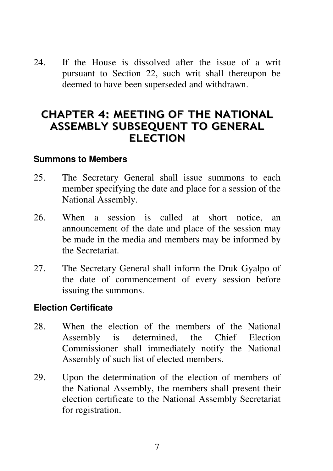24. If the House is dissolved after the issue of a writ pursuant to Section 22, such writ shall thereupon be deemed to have been superseded and withdrawn.

# CHAPTER 4: MEETING OF THE NATIONAL ASSEMBLY SUBSEQUENT TO GENERAL ELECTION

#### **Summons to Members**

- 25. The Secretary General shall issue summons to each member specifying the date and place for a session of the National Assembly.
- 26. When a session is called at short notice, an announcement of the date and place of the session may be made in the media and members may be informed by the Secretariat.
- 27. The Secretary General shall inform the Druk Gyalpo of the date of commencement of every session before issuing the summons.

#### **Election Certificate**

- 28. When the election of the members of the National Assembly is determined, the Chief Election Commissioner shall immediately notify the National Assembly of such list of elected members.
- 29. Upon the determination of the election of members of the National Assembly, the members shall present their election certificate to the National Assembly Secretariat for registration.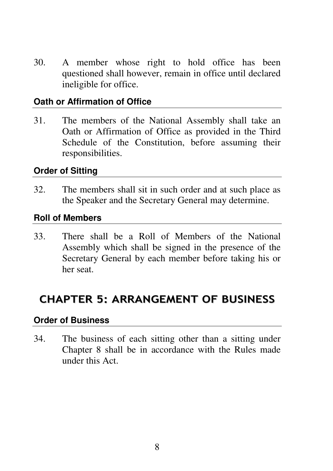30. A member whose right to hold office has been questioned shall however, remain in office until declared ineligible for office.

### **Oath or Affirmation of Office**

31. The members of the National Assembly shall take an Oath or Affirmation of Office as provided in the Third Schedule of the Constitution, before assuming their responsibilities.

### **Order of Sitting**

32. The members shall sit in such order and at such place as the Speaker and the Secretary General may determine.

### **Roll of Members**

33. There shall be a Roll of Members of the National Assembly which shall be signed in the presence of the Secretary General by each member before taking his or her seat.

# CHAPTER 5: ARRANGEMENT OF BUSINESS

#### **Order of Business**

34. The business of each sitting other than a sitting under Chapter 8 shall be in accordance with the Rules made under this Act.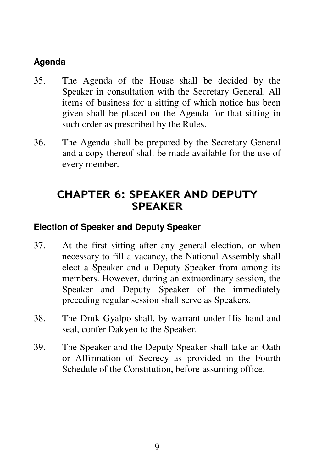# **Agenda**

- 35. The Agenda of the House shall be decided by the Speaker in consultation with the Secretary General. All items of business for a sitting of which notice has been given shall be placed on the Agenda for that sitting in such order as prescribed by the Rules.
- 36. The Agenda shall be prepared by the Secretary General and a copy thereof shall be made available for the use of every member.

# CHAPTER 6: SPEAKER AND DEPUTY SPEAKER

# **Election of Speaker and Deputy Speaker**

- 37. At the first sitting after any general election, or when necessary to fill a vacancy, the National Assembly shall elect a Speaker and a Deputy Speaker from among its members. However, during an extraordinary session, the Speaker and Deputy Speaker of the immediately preceding regular session shall serve as Speakers.
- 38. The Druk Gyalpo shall, by warrant under His hand and seal, confer Dakyen to the Speaker.
- 39. The Speaker and the Deputy Speaker shall take an Oath or Affirmation of Secrecy as provided in the Fourth Schedule of the Constitution, before assuming office.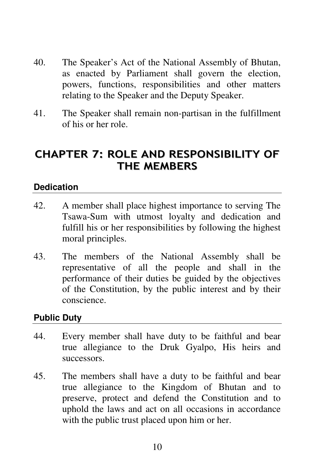- 40. The Speaker's Act of the National Assembly of Bhutan, as enacted by Parliament shall govern the election, powers, functions, responsibilities and other matters relating to the Speaker and the Deputy Speaker.
- 41. The Speaker shall remain non-partisan in the fulfillment of his or her role.

# CHAPTER 7: ROLE AND RESPONSIBILITY OF THE MEMBERS

### **Dedication**

- 42. A member shall place highest importance to serving The Tsawa-Sum with utmost loyalty and dedication and fulfill his or her responsibilities by following the highest moral principles.
- 43. The members of the National Assembly shall be representative of all the people and shall in the performance of their duties be guided by the objectives of the Constitution, by the public interest and by their conscience.

### **Public Duty**

- 44. Every member shall have duty to be faithful and bear true allegiance to the Druk Gyalpo, His heirs and successors.
- 45. The members shall have a duty to be faithful and bear true allegiance to the Kingdom of Bhutan and to preserve, protect and defend the Constitution and to uphold the laws and act on all occasions in accordance with the public trust placed upon him or her.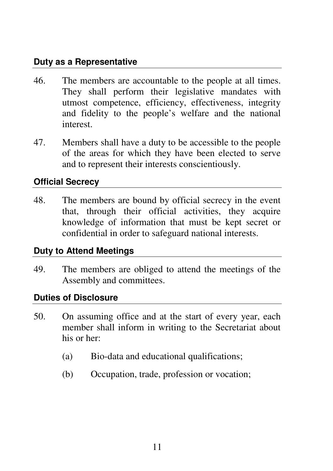### **Duty as a Representative**

- 46. The members are accountable to the people at all times. They shall perform their legislative mandates with utmost competence, efficiency, effectiveness, integrity and fidelity to the people's welfare and the national interest.
- 47. Members shall have a duty to be accessible to the people of the areas for which they have been elected to serve and to represent their interests conscientiously.

# **Official Secrecy**

48. The members are bound by official secrecy in the event that, through their official activities, they acquire knowledge of information that must be kept secret or confidential in order to safeguard national interests.

# **Duty to Attend Meetings**

49. The members are obliged to attend the meetings of the Assembly and committees.

# **Duties of Disclosure**

- 50. On assuming office and at the start of every year, each member shall inform in writing to the Secretariat about his or her:
	- (a) Bio-data and educational qualifications;
	- (b) Occupation, trade, profession or vocation;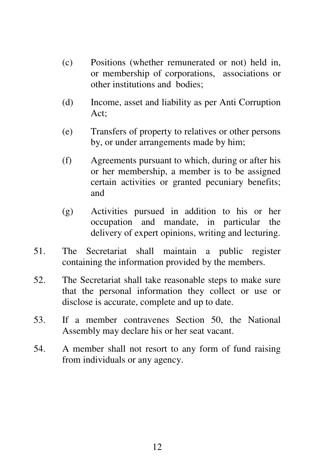- (c) Positions (whether remunerated or not) held in, or membership of corporations, associations or other institutions and bodies;
- (d) Income, asset and liability as per Anti Corruption Act;
- (e) Transfers of property to relatives or other persons by, or under arrangements made by him;
- (f) Agreements pursuant to which, during or after his or her membership, a member is to be assigned certain activities or granted pecuniary benefits; and
- (g) Activities pursued in addition to his or her occupation and mandate, in particular the delivery of expert opinions, writing and lecturing.
- 51. The Secretariat shall maintain a public register containing the information provided by the members.
- 52. The Secretariat shall take reasonable steps to make sure that the personal information they collect or use or disclose is accurate, complete and up to date.
- 53. If a member contravenes Section 50, the National Assembly may declare his or her seat vacant.
- 54. A member shall not resort to any form of fund raising from individuals or any agency.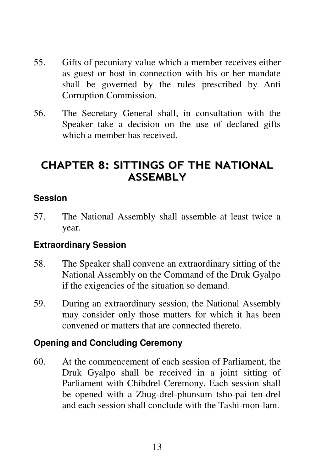- 55. Gifts of pecuniary value which a member receives either as guest or host in connection with his or her mandate shall be governed by the rules prescribed by Anti Corruption Commission.
- 56. The Secretary General shall, in consultation with the Speaker take a decision on the use of declared gifts which a member has received.

# CHAPTER 8: SITTINGS OF THE NATIONAL ASSEMBLY

### **Session**

57. The National Assembly shall assemble at least twice a year.

# **Extraordinary Session**

- 58. The Speaker shall convene an extraordinary sitting of the National Assembly on the Command of the Druk Gyalpo if the exigencies of the situation so demand*.*
- 59. During an extraordinary session, the National Assembly may consider only those matters for which it has been convened or matters that are connected thereto.

# **Opening and Concluding Ceremony**

60. At the commencement of each session of Parliament, the Druk Gyalpo shall be received in a joint sitting of Parliament with Chibdrel Ceremony. Each session shall be opened with a Zhug-drel-phunsum tsho-pai ten-drel and each session shall conclude with the Tashi-mon-lam.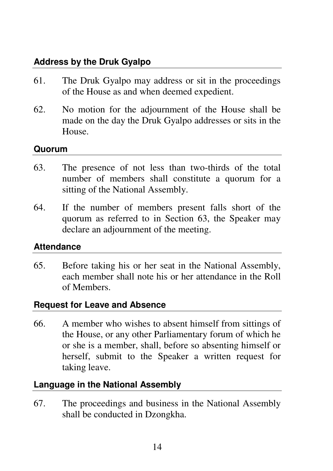# **Address by the Druk Gyalpo**

- 61. The Druk Gyalpo may address or sit in the proceedings of the House as and when deemed expedient.
- 62. No motion for the adjournment of the House shall be made on the day the Druk Gyalpo addresses or sits in the House.

### **Quorum**

- 63. The presence of not less than two-thirds of the total number of members shall constitute a quorum for a sitting of the National Assembly.
- 64. If the number of members present falls short of the quorum as referred to in Section 63, the Speaker may declare an adjournment of the meeting.

# **Attendance**

65. Before taking his or her seat in the National Assembly, each member shall note his or her attendance in the Roll of Members.

# **Request for Leave and Absence**

66. A member who wishes to absent himself from sittings of the House, or any other Parliamentary forum of which he or she is a member, shall, before so absenting himself or herself, submit to the Speaker a written request for taking leave.

# **Language in the National Assembly**

67. The proceedings and business in the National Assembly shall be conducted in Dzongkha.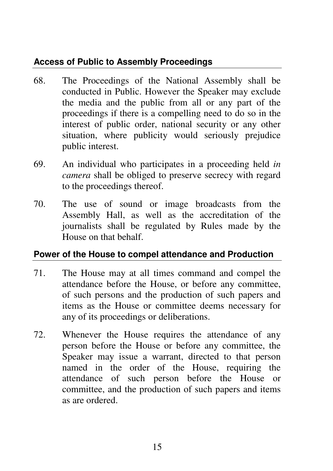# **Access of Public to Assembly Proceedings**

- 68. The Proceedings of the National Assembly shall be conducted in Public. However the Speaker may exclude the media and the public from all or any part of the proceedings if there is a compelling need to do so in the interest of public order, national security or any other situation, where publicity would seriously prejudice public interest.
- 69. An individual who participates in a proceeding held *in camera* shall be obliged to preserve secrecy with regard to the proceedings thereof.
- 70. The use of sound or image broadcasts from the Assembly Hall, as well as the accreditation of the journalists shall be regulated by Rules made by the House on that behalf.

# **Power of the House to compel attendance and Production**

- 71. The House may at all times command and compel the attendance before the House, or before any committee, of such persons and the production of such papers and items as the House or committee deems necessary for any of its proceedings or deliberations.
- 72. Whenever the House requires the attendance of any person before the House or before any committee, the Speaker may issue a warrant, directed to that person named in the order of the House, requiring the attendance of such person before the House or committee, and the production of such papers and items as are ordered.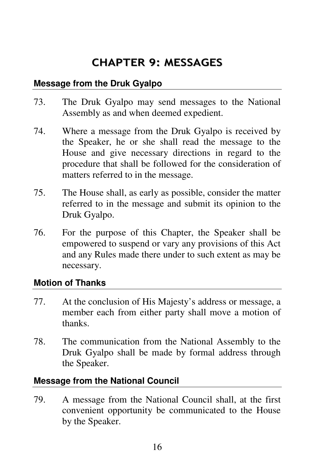# CHAPTER 9: MESSAGES

### **Message from the Druk Gyalpo**

- 73. The Druk Gyalpo may send messages to the National Assembly as and when deemed expedient.
- 74. Where a message from the Druk Gyalpo is received by the Speaker, he or she shall read the message to the House and give necessary directions in regard to the procedure that shall be followed for the consideration of matters referred to in the message.
- 75. The House shall, as early as possible, consider the matter referred to in the message and submit its opinion to the Druk Gyalpo.
- 76. For the purpose of this Chapter, the Speaker shall be empowered to suspend or vary any provisions of this Act and any Rules made there under to such extent as may be necessary.

# **Motion of Thanks**

- 77. At the conclusion of His Majesty's address or message, a member each from either party shall move a motion of thanks.
- 78. The communication from the National Assembly to the Druk Gyalpo shall be made by formal address through the Speaker.

# **Message from the National Council**

79. A message from the National Council shall, at the first convenient opportunity be communicated to the House by the Speaker.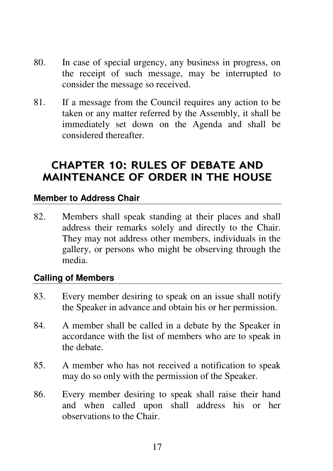- 80. In case of special urgency, any business in progress, on the receipt of such message, may be interrupted to consider the message so received.
- 81. If a message from the Council requires any action to be taken or any matter referred by the Assembly, it shall be immediately set down on the Agenda and shall be considered thereafter.

# CHAPTER 10: RULES OF DEBATE AND MAINTENANCE OF ORDER IN THE HOUSE

### **Member to Address Chair**

82. Members shall speak standing at their places and shall address their remarks solely and directly to the Chair. They may not address other members, individuals in the gallery, or persons who might be observing through the media.

### **Calling of Members**

- 83. Every member desiring to speak on an issue shall notify the Speaker in advance and obtain his or her permission.
- 84. A member shall be called in a debate by the Speaker in accordance with the list of members who are to speak in the debate.
- 85. A member who has not received a notification to speak may do so only with the permission of the Speaker.
- 86. Every member desiring to speak shall raise their hand and when called upon shall address his or her observations to the Chair.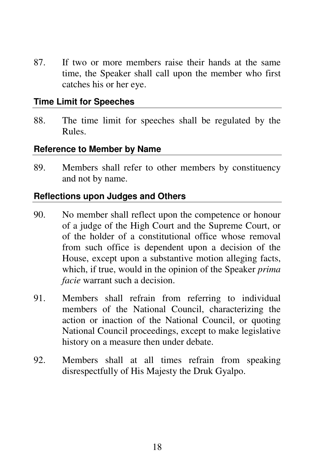87. If two or more members raise their hands at the same time, the Speaker shall call upon the member who first catches his or her eye.

#### **Time Limit for Speeches**

88. The time limit for speeches shall be regulated by the Rules.

#### **Reference to Member by Name**

89. Members shall refer to other members by constituency and not by name.

#### **Reflections upon Judges and Others**

- 90. No member shall reflect upon the competence or honour of a judge of the High Court and the Supreme Court, or of the holder of a constitutional office whose removal from such office is dependent upon a decision of the House, except upon a substantive motion alleging facts, which, if true, would in the opinion of the Speaker *prima facie* warrant such a decision.
- 91. Members shall refrain from referring to individual members of the National Council, characterizing the action or inaction of the National Council, or quoting National Council proceedings, except to make legislative history on a measure then under debate.
- 92. Members shall at all times refrain from speaking disrespectfully of His Majesty the Druk Gyalpo.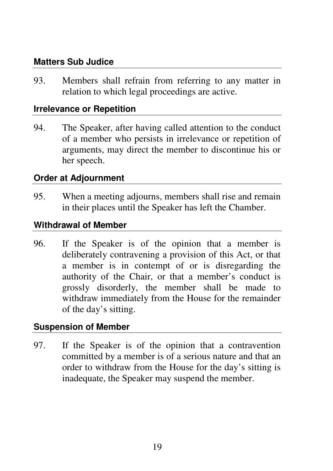### **Matters Sub Judice**

93. Members shall refrain from referring to any matter in relation to which legal proceedings are active.

#### **Irrelevance or Repetition**

94. The Speaker, after having called attention to the conduct of a member who persists in irrelevance or repetition of arguments, may direct the member to discontinue his or her speech.

#### **Order at Adjournment**

95. When a meeting adjourns, members shall rise and remain in their places until the Speaker has left the Chamber.

### **Withdrawal of Member**

96. If the Speaker is of the opinion that a member is deliberately contravening a provision of this Act, or that a member is in contempt of or is disregarding the authority of the Chair, or that a member's conduct is grossly disorderly, the member shall be made to withdraw immediately from the House for the remainder of the day's sitting.

#### **Suspension of Member**

97. If the Speaker is of the opinion that a contravention committed by a member is of a serious nature and that an order to withdraw from the House for the day's sitting is inadequate, the Speaker may suspend the member.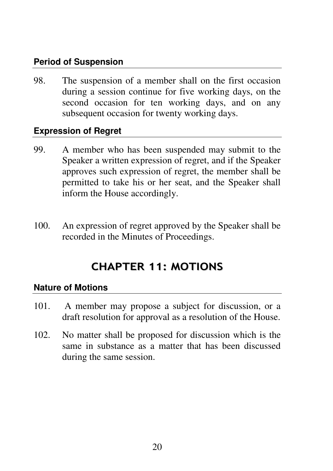# **Period of Suspension**

98. The suspension of a member shall on the first occasion during a session continue for five working days, on the second occasion for ten working days, and on any subsequent occasion for twenty working days.

### **Expression of Regret**

- 99. A member who has been suspended may submit to the Speaker a written expression of regret, and if the Speaker approves such expression of regret, the member shall be permitted to take his or her seat, and the Speaker shall inform the House accordingly.
- 100. An expression of regret approved by the Speaker shall be recorded in the Minutes of Proceedings.

# CHAPTER 11: MOTIONS

### **Nature of Motions**

- 101. A member may propose a subject for discussion, or a draft resolution for approval as a resolution of the House.
- 102. No matter shall be proposed for discussion which is the same in substance as a matter that has been discussed during the same session.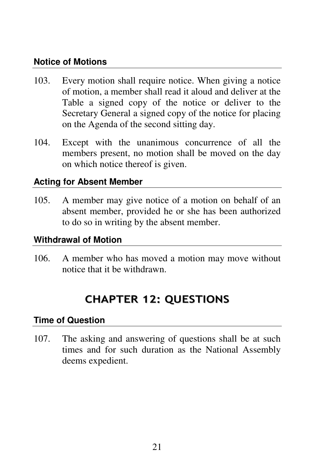### **Notice of Motions**

- 103. Every motion shall require notice. When giving a notice of motion, a member shall read it aloud and deliver at the Table a signed copy of the notice or deliver to the Secretary General a signed copy of the notice for placing on the Agenda of the second sitting day.
- 104. Except with the unanimous concurrence of all the members present, no motion shall be moved on the day on which notice thereof is given.

# **Acting for Absent Member**

105. A member may give notice of a motion on behalf of an absent member, provided he or she has been authorized to do so in writing by the absent member.

### **Withdrawal of Motion**

106. A member who has moved a motion may move without notice that it be withdrawn.

# CHAPTER 12: QUESTIONS

### **Time of Question**

107. The asking and answering of questions shall be at such times and for such duration as the National Assembly deems expedient.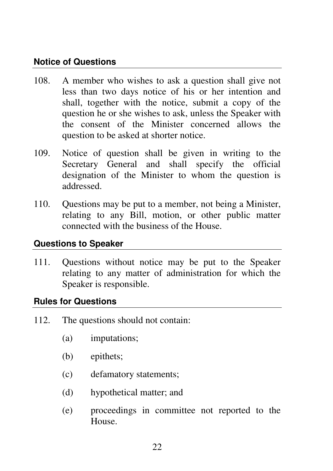### **Notice of Questions**

- 108. A member who wishes to ask a question shall give not less than two days notice of his or her intention and shall, together with the notice, submit a copy of the question he or she wishes to ask, unless the Speaker with the consent of the Minister concerned allows the question to be asked at shorter notice.
- 109. Notice of question shall be given in writing to the Secretary General and shall specify the official designation of the Minister to whom the question is addressed.
- 110. Questions may be put to a member, not being a Minister, relating to any Bill, motion, or other public matter connected with the business of the House.

### **Questions to Speaker**

111. Questions without notice may be put to the Speaker relating to any matter of administration for which the Speaker is responsible.

### **Rules for Questions**

- 112. The questions should not contain:
	- (a) imputations;
	- (b) epithets;
	- (c) defamatory statements;
	- (d) hypothetical matter; and
	- (e) proceedings in committee not reported to the House.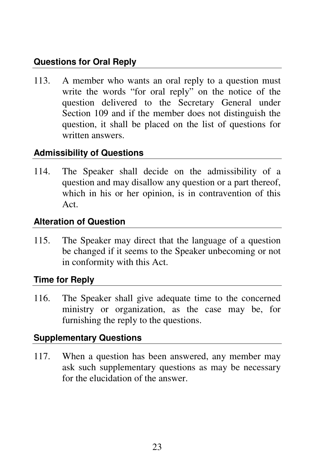# **Questions for Oral Reply**

113. A member who wants an oral reply to a question must write the words "for oral reply" on the notice of the question delivered to the Secretary General under Section 109 and if the member does not distinguish the question, it shall be placed on the list of questions for written answers.

# **Admissibility of Questions**

114. The Speaker shall decide on the admissibility of a question and may disallow any question or a part thereof, which in his or her opinion, is in contravention of this Act.

### **Alteration of Question**

115. The Speaker may direct that the language of a question be changed if it seems to the Speaker unbecoming or not in conformity with this Act.

# **Time for Reply**

116. The Speaker shall give adequate time to the concerned ministry or organization, as the case may be, for furnishing the reply to the questions.

# **Supplementary Questions**

117. When a question has been answered, any member may ask such supplementary questions as may be necessary for the elucidation of the answer.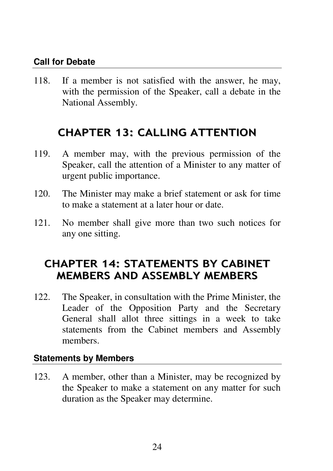### **Call for Debate**

118. If a member is not satisfied with the answer, he may, with the permission of the Speaker, call a debate in the National Assembly.

# CHAPTER 13: CALLING ATTENTION

- 119. A member may, with the previous permission of the Speaker, call the attention of a Minister to any matter of urgent public importance.
- 120. The Minister may make a brief statement or ask for time to make a statement at a later hour or date.
- 121. No member shall give more than two such notices for any one sitting.

# CHAPTER 14: STATEMENTS BY CABINET MEMBERS AND ASSEMBLY MEMBERS

122. The Speaker, in consultation with the Prime Minister, the Leader of the Opposition Party and the Secretary General shall allot three sittings in a week to take statements from the Cabinet members and Assembly members.

### **Statements by Members**

123. A member, other than a Minister, may be recognized by the Speaker to make a statement on any matter for such duration as the Speaker may determine.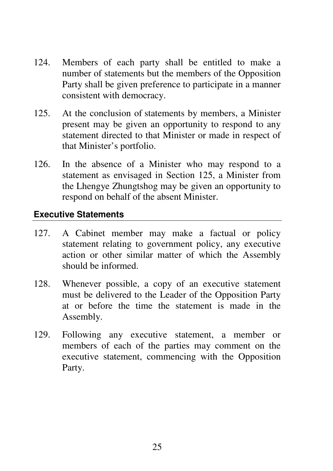- 124. Members of each party shall be entitled to make a number of statements but the members of the Opposition Party shall be given preference to participate in a manner consistent with democracy.
- 125. At the conclusion of statements by members, a Minister present may be given an opportunity to respond to any statement directed to that Minister or made in respect of that Minister's portfolio.
- 126. In the absence of a Minister who may respond to a statement as envisaged in Section 125, a Minister from the Lhengye Zhungtshog may be given an opportunity to respond on behalf of the absent Minister.

### **Executive Statements**

- 127. A Cabinet member may make a factual or policy statement relating to government policy, any executive action or other similar matter of which the Assembly should be informed.
- 128. Whenever possible, a copy of an executive statement must be delivered to the Leader of the Opposition Party at or before the time the statement is made in the Assembly.
- 129. Following any executive statement, a member or members of each of the parties may comment on the executive statement, commencing with the Opposition Party.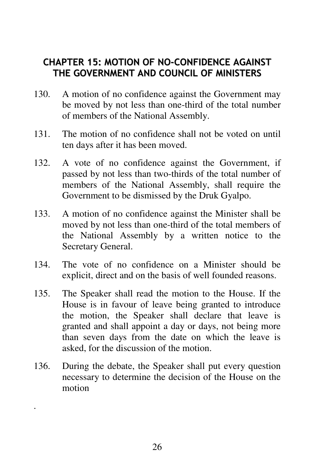# CHAPTER 15: MOTION OF NO-CONFIDENCE AGAINST THE GOVERNMENT AND COUNCIL OF MINISTERS

- 130. A motion of no confidence against the Government may be moved by not less than one-third of the total number of members of the National Assembly.
- 131. The motion of no confidence shall not be voted on until ten days after it has been moved.
- 132. A vote of no confidence against the Government, if passed by not less than two-thirds of the total number of members of the National Assembly, shall require the Government to be dismissed by the Druk Gyalpo.
- 133. A motion of no confidence against the Minister shall be moved by not less than one-third of the total members of the National Assembly by a written notice to the Secretary General.
- 134. The vote of no confidence on a Minister should be explicit, direct and on the basis of well founded reasons.
- 135. The Speaker shall read the motion to the House. If the House is in favour of leave being granted to introduce the motion, the Speaker shall declare that leave is granted and shall appoint a day or days, not being more than seven days from the date on which the leave is asked, for the discussion of the motion.
- 136. During the debate, the Speaker shall put every question necessary to determine the decision of the House on the motion

.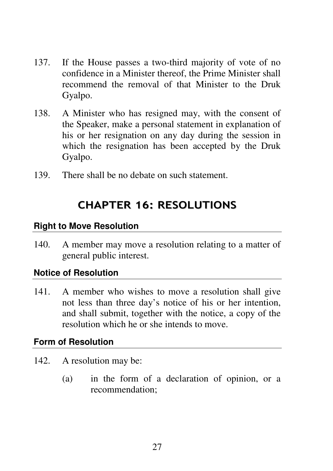- 137. If the House passes a two-third majority of vote of no confidence in a Minister thereof, the Prime Minister shall recommend the removal of that Minister to the Druk Gyalpo.
- 138. A Minister who has resigned may, with the consent of the Speaker, make a personal statement in explanation of his or her resignation on any day during the session in which the resignation has been accepted by the Druk Gyalpo.
- 139. There shall be no debate on such statement.

# CHAPTER 16: RESOLUTIONS

### **Right to Move Resolution**

140. A member may move a resolution relating to a matter of general public interest.

#### **Notice of Resolution**

141. A member who wishes to move a resolution shall give not less than three day's notice of his or her intention, and shall submit, together with the notice, a copy of the resolution which he or she intends to move.

#### **Form of Resolution**

- 142. A resolution may be:
	- (a) in the form of a declaration of opinion, or a recommendation;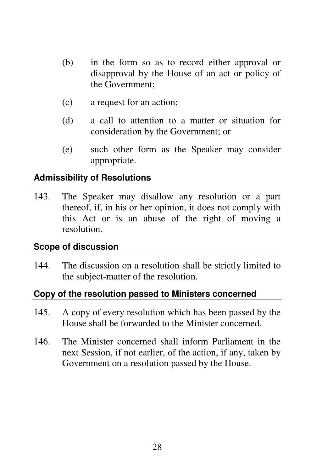- (b) in the form so as to record either approval or disapproval by the House of an act or policy of the Government;
- (c) a request for an action;
- (d) a call to attention to a matter or situation for consideration by the Government; or
- (e) such other form as the Speaker may consider appropriate.

### **Admissibility of Resolutions**

143. The Speaker may disallow any resolution or a part thereof, if, in his or her opinion, it does not comply with this Act or is an abuse of the right of moving a resolution.

#### **Scope of discussion**

144. The discussion on a resolution shall be strictly limited to the subject-matter of the resolution.

### **Copy of the resolution passed to Ministers concerned**

- 145. A copy of every resolution which has been passed by the House shall be forwarded to the Minister concerned.
- 146. The Minister concerned shall inform Parliament in the next Session, if not earlier, of the action, if any, taken by Government on a resolution passed by the House.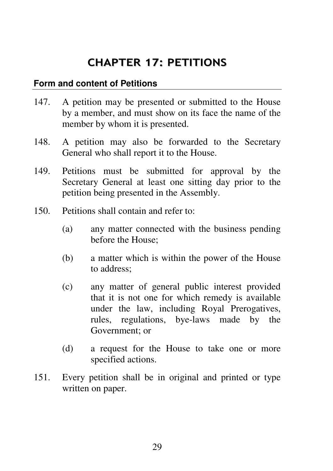# CHAPTER 17: PETITIONS

### **Form and content of Petitions**

- 147. A petition may be presented or submitted to the House by a member, and must show on its face the name of the member by whom it is presented.
- 148. A petition may also be forwarded to the Secretary General who shall report it to the House.
- 149. Petitions must be submitted for approval by the Secretary General at least one sitting day prior to the petition being presented in the Assembly.
- 150. Petitions shall contain and refer to:
	- (a) any matter connected with the business pending before the House;
	- (b) a matter which is within the power of the House to address;
	- (c) any matter of general public interest provided that it is not one for which remedy is available under the law, including Royal Prerogatives, rules, regulations, bye-laws made by the Government; or
	- (d) a request for the House to take one or more specified actions.
- 151. Every petition shall be in original and printed or type written on paper.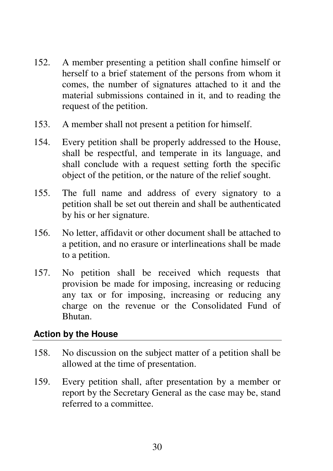- 152. A member presenting a petition shall confine himself or herself to a brief statement of the persons from whom it comes, the number of signatures attached to it and the material submissions contained in it, and to reading the request of the petition.
- 153. A member shall not present a petition for himself.
- 154. Every petition shall be properly addressed to the House, shall be respectful, and temperate in its language, and shall conclude with a request setting forth the specific object of the petition, or the nature of the relief sought.
- 155. The full name and address of every signatory to a petition shall be set out therein and shall be authenticated by his or her signature.
- 156. No letter, affidavit or other document shall be attached to a petition, and no erasure or interlineations shall be made to a petition.
- 157. No petition shall be received which requests that provision be made for imposing, increasing or reducing any tax or for imposing, increasing or reducing any charge on the revenue or the Consolidated Fund of Bhutan.

### **Action by the House**

- 158. No discussion on the subject matter of a petition shall be allowed at the time of presentation.
- 159. Every petition shall, after presentation by a member or report by the Secretary General as the case may be, stand referred to a committee.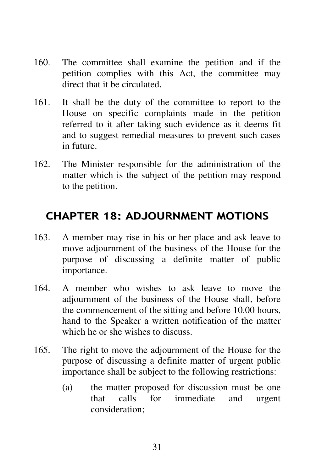- 160. The committee shall examine the petition and if the petition complies with this Act, the committee may direct that it be circulated.
- 161. It shall be the duty of the committee to report to the House on specific complaints made in the petition referred to it after taking such evidence as it deems fit and to suggest remedial measures to prevent such cases in future.
- 162. The Minister responsible for the administration of the matter which is the subject of the petition may respond to the petition.

# CHAPTER 18: ADJOURNMENT MOTIONS

- 163. A member may rise in his or her place and ask leave to move adjournment of the business of the House for the purpose of discussing a definite matter of public importance.
- 164. A member who wishes to ask leave to move the adjournment of the business of the House shall, before the commencement of the sitting and before 10.00 hours, hand to the Speaker a written notification of the matter which he or she wishes to discuss.
- 165. The right to move the adjournment of the House for the purpose of discussing a definite matter of urgent public importance shall be subject to the following restrictions:
	- (a) the matter proposed for discussion must be one that calls for immediate and urgent consideration;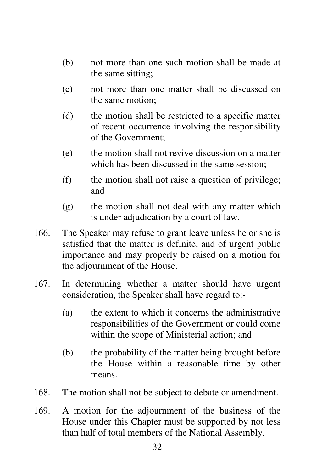- (b) not more than one such motion shall be made at the same sitting;
- (c) not more than one matter shall be discussed on the same motion;
- (d) the motion shall be restricted to a specific matter of recent occurrence involving the responsibility of the Government;
- (e) the motion shall not revive discussion on a matter which has been discussed in the same session;
- (f) the motion shall not raise a question of privilege; and
- (g) the motion shall not deal with any matter which is under adjudication by a court of law.
- 166. The Speaker may refuse to grant leave unless he or she is satisfied that the matter is definite, and of urgent public importance and may properly be raised on a motion for the adjournment of the House.
- 167. In determining whether a matter should have urgent consideration, the Speaker shall have regard to:-
	- (a) the extent to which it concerns the administrative responsibilities of the Government or could come within the scope of Ministerial action; and
	- (b) the probability of the matter being brought before the House within a reasonable time by other means.
- 168. The motion shall not be subject to debate or amendment.
- 169. A motion for the adjournment of the business of the House under this Chapter must be supported by not less than half of total members of the National Assembly.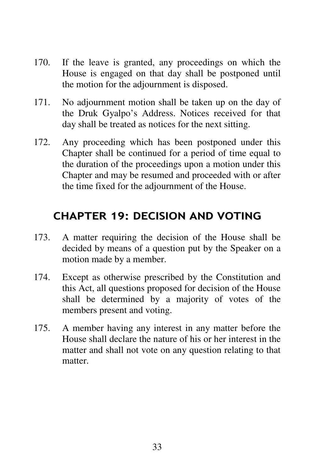- 170. If the leave is granted, any proceedings on which the House is engaged on that day shall be postponed until the motion for the adjournment is disposed.
- 171. No adjournment motion shall be taken up on the day of the Druk Gyalpo's Address. Notices received for that day shall be treated as notices for the next sitting.
- 172. Any proceeding which has been postponed under this Chapter shall be continued for a period of time equal to the duration of the proceedings upon a motion under this Chapter and may be resumed and proceeded with or after the time fixed for the adjournment of the House.

# CHAPTER 19: DECISION AND VOTING

- 173. A matter requiring the decision of the House shall be decided by means of a question put by the Speaker on a motion made by a member.
- 174. Except as otherwise prescribed by the Constitution and this Act, all questions proposed for decision of the House shall be determined by a majority of votes of the members present and voting.
- 175. A member having any interest in any matter before the House shall declare the nature of his or her interest in the matter and shall not vote on any question relating to that matter.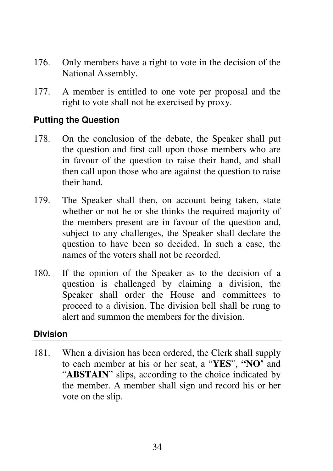- 176. Only members have a right to vote in the decision of the National Assembly.
- 177. A member is entitled to one vote per proposal and the right to vote shall not be exercised by proxy.

### **Putting the Question**

- 178. On the conclusion of the debate, the Speaker shall put the question and first call upon those members who are in favour of the question to raise their hand, and shall then call upon those who are against the question to raise their hand.
- 179. The Speaker shall then, on account being taken, state whether or not he or she thinks the required majority of the members present are in favour of the question and, subject to any challenges, the Speaker shall declare the question to have been so decided. In such a case, the names of the voters shall not be recorded.
- 180. If the opinion of the Speaker as to the decision of a question is challenged by claiming a division, the Speaker shall order the House and committees to proceed to a division. The division bell shall be rung to alert and summon the members for the division.

#### **Division**

181. When a division has been ordered, the Clerk shall supply to each member at his or her seat, a "**YES**", **"NO'** and "**ABSTAIN**" slips, according to the choice indicated by the member. A member shall sign and record his or her vote on the slip.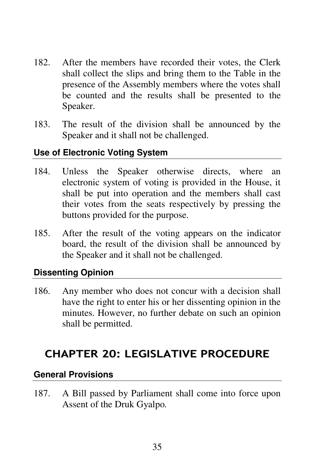- 182. After the members have recorded their votes, the Clerk shall collect the slips and bring them to the Table in the presence of the Assembly members where the votes shall be counted and the results shall be presented to the Speaker.
- 183. The result of the division shall be announced by the Speaker and it shall not be challenged.

### **Use of Electronic Voting System**

- 184. Unless the Speaker otherwise directs, where an electronic system of voting is provided in the House, it shall be put into operation and the members shall cast their votes from the seats respectively by pressing the buttons provided for the purpose.
- 185. After the result of the voting appears on the indicator board, the result of the division shall be announced by the Speaker and it shall not be challenged.

### **Dissenting Opinion**

186. Any member who does not concur with a decision shall have the right to enter his or her dissenting opinion in the minutes. However, no further debate on such an opinion shall be permitted.

# CHAPTER 20: LEGISLATIVE PROCEDURE

#### **General Provisions**

187. A Bill passed by Parliament shall come into force upon Assent of the Druk Gyalpo*.*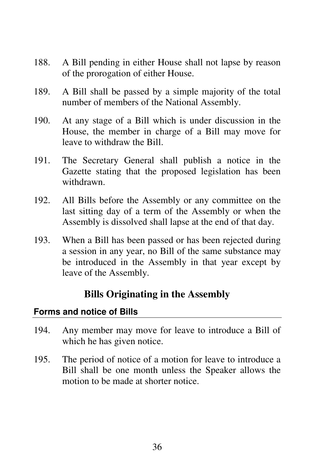- 188. A Bill pending in either House shall not lapse by reason of the prorogation of either House.
- 189. A Bill shall be passed by a simple majority of the total number of members of the National Assembly.
- 190. At any stage of a Bill which is under discussion in the House, the member in charge of a Bill may move for leave to withdraw the Bill.
- 191. The Secretary General shall publish a notice in the Gazette stating that the proposed legislation has been withdrawn.
- 192. All Bills before the Assembly or any committee on the last sitting day of a term of the Assembly or when the Assembly is dissolved shall lapse at the end of that day.
- 193. When a Bill has been passed or has been rejected during a session in any year, no Bill of the same substance may be introduced in the Assembly in that year except by leave of the Assembly.

# **Bills Originating in the Assembly**

# **Forms and notice of Bills**

- 194. Any member may move for leave to introduce a Bill of which he has given notice.
- 195. The period of notice of a motion for leave to introduce a Bill shall be one month unless the Speaker allows the motion to be made at shorter notice.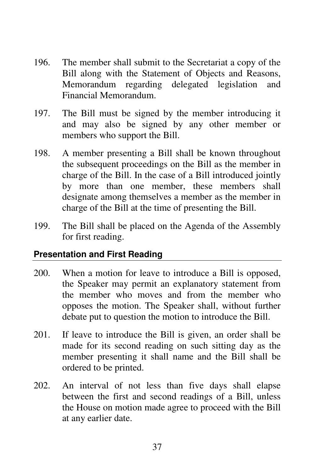- 196. The member shall submit to the Secretariat a copy of the Bill along with the Statement of Objects and Reasons, Memorandum regarding delegated legislation and Financial Memorandum.
- 197. The Bill must be signed by the member introducing it and may also be signed by any other member or members who support the Bill.
- 198. A member presenting a Bill shall be known throughout the subsequent proceedings on the Bill as the member in charge of the Bill. In the case of a Bill introduced jointly by more than one member, these members shall designate among themselves a member as the member in charge of the Bill at the time of presenting the Bill.
- 199. The Bill shall be placed on the Agenda of the Assembly for first reading.

### **Presentation and First Reading**

- 200. When a motion for leave to introduce a Bill is opposed, the Speaker may permit an explanatory statement from the member who moves and from the member who opposes the motion. The Speaker shall, without further debate put to question the motion to introduce the Bill.
- 201. If leave to introduce the Bill is given, an order shall be made for its second reading on such sitting day as the member presenting it shall name and the Bill shall be ordered to be printed.
- 202. An interval of not less than five days shall elapse between the first and second readings of a Bill, unless the House on motion made agree to proceed with the Bill at any earlier date.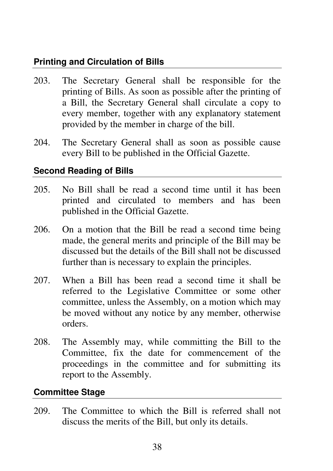# **Printing and Circulation of Bills**

- 203. The Secretary General shall be responsible for the printing of Bills. As soon as possible after the printing of a Bill, the Secretary General shall circulate a copy to every member, together with any explanatory statement provided by the member in charge of the bill.
- 204. The Secretary General shall as soon as possible cause every Bill to be published in the Official Gazette.

# **Second Reading of Bills**

- 205. No Bill shall be read a second time until it has been printed and circulated to members and has been published in the Official Gazette.
- 206. On a motion that the Bill be read a second time being made, the general merits and principle of the Bill may be discussed but the details of the Bill shall not be discussed further than is necessary to explain the principles.
- 207. When a Bill has been read a second time it shall be referred to the Legislative Committee or some other committee, unless the Assembly, on a motion which may be moved without any notice by any member, otherwise orders.
- 208. The Assembly may, while committing the Bill to the Committee, fix the date for commencement of the proceedings in the committee and for submitting its report to the Assembly.

# **Committee Stage**

209. The Committee to which the Bill is referred shall not discuss the merits of the Bill, but only its details.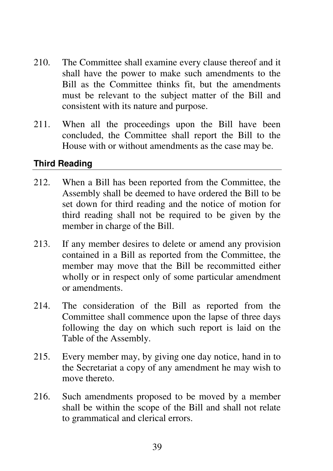- 210. The Committee shall examine every clause thereof and it shall have the power to make such amendments to the Bill as the Committee thinks fit, but the amendments must be relevant to the subject matter of the Bill and consistent with its nature and purpose.
- 211. When all the proceedings upon the Bill have been concluded, the Committee shall report the Bill to the House with or without amendments as the case may be.

# **Third Reading**

- 212. When a Bill has been reported from the Committee, the Assembly shall be deemed to have ordered the Bill to be set down for third reading and the notice of motion for third reading shall not be required to be given by the member in charge of the Bill.
- 213. If any member desires to delete or amend any provision contained in a Bill as reported from the Committee, the member may move that the Bill be recommitted either wholly or in respect only of some particular amendment or amendments.
- 214. The consideration of the Bill as reported from the Committee shall commence upon the lapse of three days following the day on which such report is laid on the Table of the Assembly.
- 215. Every member may, by giving one day notice, hand in to the Secretariat a copy of any amendment he may wish to move thereto.
- 216. Such amendments proposed to be moved by a member shall be within the scope of the Bill and shall not relate to grammatical and clerical errors.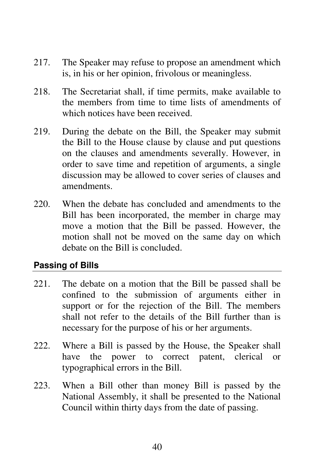- 217. The Speaker may refuse to propose an amendment which is, in his or her opinion, frivolous or meaningless.
- 218. The Secretariat shall, if time permits, make available to the members from time to time lists of amendments of which notices have been received.
- 219. During the debate on the Bill, the Speaker may submit the Bill to the House clause by clause and put questions on the clauses and amendments severally. However, in order to save time and repetition of arguments, a single discussion may be allowed to cover series of clauses and amendments.
- 220. When the debate has concluded and amendments to the Bill has been incorporated, the member in charge may move a motion that the Bill be passed. However, the motion shall not be moved on the same day on which debate on the Bill is concluded.

# **Passing of Bills**

- 221. The debate on a motion that the Bill be passed shall be confined to the submission of arguments either in support or for the rejection of the Bill. The members shall not refer to the details of the Bill further than is necessary for the purpose of his or her arguments.
- 222. Where a Bill is passed by the House, the Speaker shall have the power to correct patent, clerical or typographical errors in the Bill.
- 223. When a Bill other than money Bill is passed by the National Assembly, it shall be presented to the National Council within thirty days from the date of passing.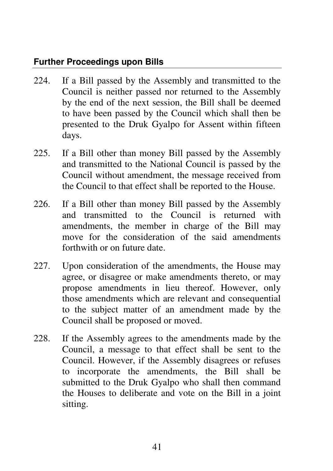# **Further Proceedings upon Bills**

- 224. If a Bill passed by the Assembly and transmitted to the Council is neither passed nor returned to the Assembly by the end of the next session, the Bill shall be deemed to have been passed by the Council which shall then be presented to the Druk Gyalpo for Assent within fifteen days.
- 225. If a Bill other than money Bill passed by the Assembly and transmitted to the National Council is passed by the Council without amendment, the message received from the Council to that effect shall be reported to the House.
- 226. If a Bill other than money Bill passed by the Assembly and transmitted to the Council is returned with amendments, the member in charge of the Bill may move for the consideration of the said amendments forthwith or on future date.
- 227. Upon consideration of the amendments, the House may agree, or disagree or make amendments thereto, or may propose amendments in lieu thereof. However, only those amendments which are relevant and consequential to the subject matter of an amendment made by the Council shall be proposed or moved.
- 228. If the Assembly agrees to the amendments made by the Council, a message to that effect shall be sent to the Council. However, if the Assembly disagrees or refuses to incorporate the amendments, the Bill shall be submitted to the Druk Gyalpo who shall then command the Houses to deliberate and vote on the Bill in a joint sitting.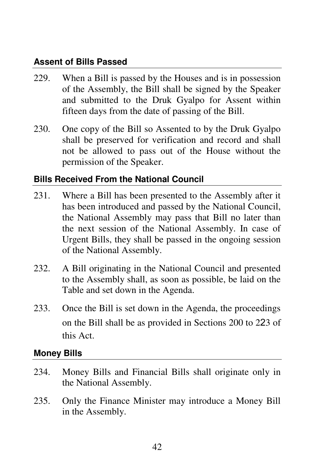# **Assent of Bills Passed**

- 229. When a Bill is passed by the Houses and is in possession of the Assembly, the Bill shall be signed by the Speaker and submitted to the Druk Gyalpo for Assent within fifteen days from the date of passing of the Bill.
- 230. One copy of the Bill so Assented to by the Druk Gyalpo shall be preserved for verification and record and shall not be allowed to pass out of the House without the permission of the Speaker.

### **Bills Received From the National Council**

- 231. Where a Bill has been presented to the Assembly after it has been introduced and passed by the National Council, the National Assembly may pass that Bill no later than the next session of the National Assembly. In case of Urgent Bills, they shall be passed in the ongoing session of the National Assembly.
- 232. A Bill originating in the National Council and presented to the Assembly shall, as soon as possible, be laid on the Table and set down in the Agenda.
- 233. Once the Bill is set down in the Agenda, the proceedings on the Bill shall be as provided in Sections 200 to 223 of this Act.

### **Money Bills**

- 234. Money Bills and Financial Bills shall originate only in the National Assembly.
- 235. Only the Finance Minister may introduce a Money Bill in the Assembly.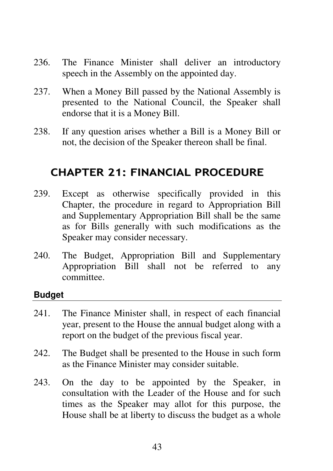- 236. The Finance Minister shall deliver an introductory speech in the Assembly on the appointed day.
- 237. When a Money Bill passed by the National Assembly is presented to the National Council, the Speaker shall endorse that it is a Money Bill.
- 238. If any question arises whether a Bill is a Money Bill or not, the decision of the Speaker thereon shall be final.

# CHAPTER 21: FINANCIAL PROCEDURE

- 239. Except as otherwise specifically provided in this Chapter, the procedure in regard to Appropriation Bill and Supplementary Appropriation Bill shall be the same as for Bills generally with such modifications as the Speaker may consider necessary.
- 240. The Budget, Appropriation Bill and Supplementary Appropriation Bill shall not be referred to any committee.

#### **Budget**

- 241. The Finance Minister shall, in respect of each financial year, present to the House the annual budget along with a report on the budget of the previous fiscal year.
- 242. The Budget shall be presented to the House in such form as the Finance Minister may consider suitable.
- 243. On the day to be appointed by the Speaker, in consultation with the Leader of the House and for such times as the Speaker may allot for this purpose, the House shall be at liberty to discuss the budget as a whole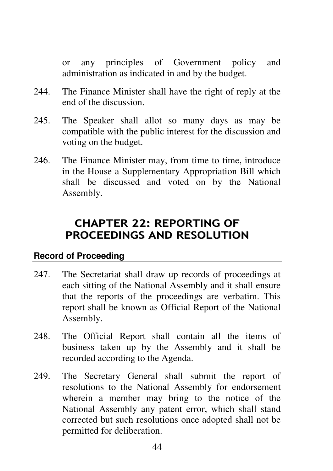or any principles of Government policy and administration as indicated in and by the budget.

- 244. The Finance Minister shall have the right of reply at the end of the discussion.
- 245. The Speaker shall allot so many days as may be compatible with the public interest for the discussion and voting on the budget.
- 246. The Finance Minister may, from time to time, introduce in the House a Supplementary Appropriation Bill which shall be discussed and voted on by the National Assembly.

# CHAPTER 22: REPORTING OF PROCEEDINGS AND RESOLUTION

### **Record of Proceeding**

- 247. The Secretariat shall draw up records of proceedings at each sitting of the National Assembly and it shall ensure that the reports of the proceedings are verbatim. This report shall be known as Official Report of the National Assembly.
- 248. The Official Report shall contain all the items of business taken up by the Assembly and it shall be recorded according to the Agenda.
- 249. The Secretary General shall submit the report of resolutions to the National Assembly for endorsement wherein a member may bring to the notice of the National Assembly any patent error, which shall stand corrected but such resolutions once adopted shall not be permitted for deliberation.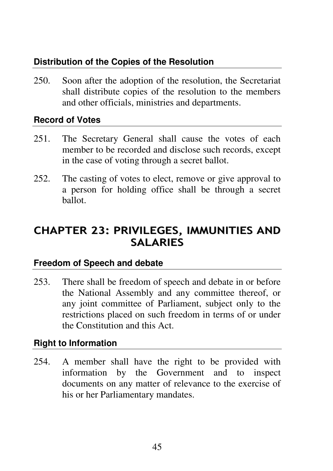# **Distribution of the Copies of the Resolution**

250. Soon after the adoption of the resolution, the Secretariat shall distribute copies of the resolution to the members and other officials, ministries and departments.

### **Record of Votes**

- 251. The Secretary General shall cause the votes of each member to be recorded and disclose such records, except in the case of voting through a secret ballot.
- 252. The casting of votes to elect, remove or give approval to a person for holding office shall be through a secret ballot.

# CHAPTER 23: PRIVILEGES, IMMUNITIES AND **SALARIES**

### **Freedom of Speech and debate**

253. There shall be freedom of speech and debate in or before the National Assembly and any committee thereof, or any joint committee of Parliament, subject only to the restrictions placed on such freedom in terms of or under the Constitution and this Act.

# **Right to Information**

254. A member shall have the right to be provided with information by the Government and to inspect documents on any matter of relevance to the exercise of his or her Parliamentary mandates.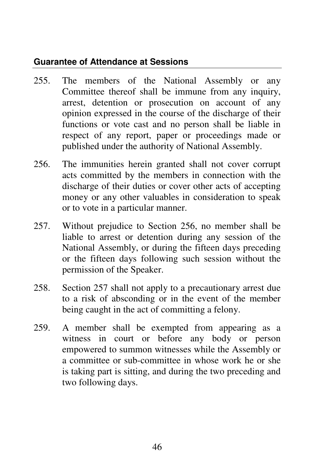# **Guarantee of Attendance at Sessions**

- 255. The members of the National Assembly or any Committee thereof shall be immune from any inquiry, arrest, detention or prosecution on account of any opinion expressed in the course of the discharge of their functions or vote cast and no person shall be liable in respect of any report, paper or proceedings made or published under the authority of National Assembly.
- 256. The immunities herein granted shall not cover corrupt acts committed by the members in connection with the discharge of their duties or cover other acts of accepting money or any other valuables in consideration to speak or to vote in a particular manner.
- 257. Without prejudice to Section 256, no member shall be liable to arrest or detention during any session of the National Assembly, or during the fifteen days preceding or the fifteen days following such session without the permission of the Speaker.
- 258. Section 257 shall not apply to a precautionary arrest due to a risk of absconding or in the event of the member being caught in the act of committing a felony.
- 259. A member shall be exempted from appearing as a witness in court or before any body or person empowered to summon witnesses while the Assembly or a committee or sub-committee in whose work he or she is taking part is sitting, and during the two preceding and two following days.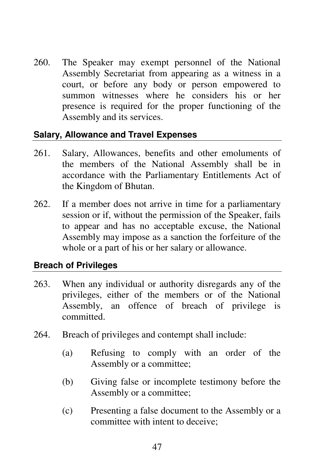260. The Speaker may exempt personnel of the National Assembly Secretariat from appearing as a witness in a court, or before any body or person empowered to summon witnesses where he considers his or her presence is required for the proper functioning of the Assembly and its services.

### **Salary, Allowance and Travel Expenses**

- 261. Salary, Allowances, benefits and other emoluments of the members of the National Assembly shall be in accordance with the Parliamentary Entitlements Act of the Kingdom of Bhutan.
- 262. If a member does not arrive in time for a parliamentary session or if, without the permission of the Speaker, fails to appear and has no acceptable excuse, the National Assembly may impose as a sanction the forfeiture of the whole or a part of his or her salary or allowance.

# **Breach of Privileges**

- 263. When any individual or authority disregards any of the privileges, either of the members or of the National Assembly, an offence of breach of privilege is committed.
- 264. Breach of privileges and contempt shall include:
	- (a) Refusing to comply with an order of the Assembly or a committee;
	- (b) Giving false or incomplete testimony before the Assembly or a committee;
	- (c) Presenting a false document to the Assembly or a committee with intent to deceive;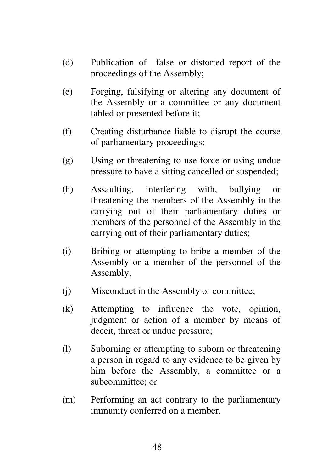- (d) Publication of false or distorted report of the proceedings of the Assembly;
- (e) Forging, falsifying or altering any document of the Assembly or a committee or any document tabled or presented before it;
- (f) Creating disturbance liable to disrupt the course of parliamentary proceedings;
- (g) Using or threatening to use force or using undue pressure to have a sitting cancelled or suspended;
- (h) Assaulting, interfering with, bullying or threatening the members of the Assembly in the carrying out of their parliamentary duties or members of the personnel of the Assembly in the carrying out of their parliamentary duties;
- (i) Bribing or attempting to bribe a member of the Assembly or a member of the personnel of the Assembly;
- (j) Misconduct in the Assembly or committee;
- (k) Attempting to influence the vote, opinion, judgment or action of a member by means of deceit, threat or undue pressure;
- (l) Suborning or attempting to suborn or threatening a person in regard to any evidence to be given by him before the Assembly, a committee or a subcommittee; or
- (m) Performing an act contrary to the parliamentary immunity conferred on a member.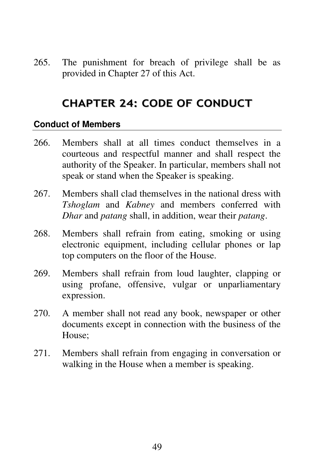265. The punishment for breach of privilege shall be as provided in Chapter 27 of this Act.

# CHAPTER 24: CODE OF CONDUCT

#### **Conduct of Members**

- 266. Members shall at all times conduct themselves in a courteous and respectful manner and shall respect the authority of the Speaker. In particular, members shall not speak or stand when the Speaker is speaking.
- 267. Members shall clad themselves in the national dress with *Tshoglam* and *Kabney* and members conferred with *Dhar* and *patang* shall, in addition, wear their *patang*.
- 268. Members shall refrain from eating, smoking or using electronic equipment, including cellular phones or lap top computers on the floor of the House.
- 269. Members shall refrain from loud laughter, clapping or using profane, offensive, vulgar or unparliamentary expression.
- 270. A member shall not read any book, newspaper or other documents except in connection with the business of the House;
- 271. Members shall refrain from engaging in conversation or walking in the House when a member is speaking.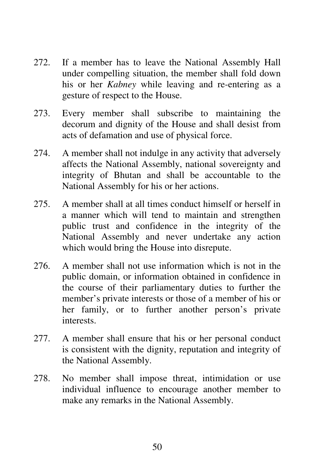- 272. If a member has to leave the National Assembly Hall under compelling situation, the member shall fold down his or her *Kabney* while leaving and re-entering as a gesture of respect to the House.
- 273. Every member shall subscribe to maintaining the decorum and dignity of the House and shall desist from acts of defamation and use of physical force.
- 274. A member shall not indulge in any activity that adversely affects the National Assembly, national sovereignty and integrity of Bhutan and shall be accountable to the National Assembly for his or her actions.
- 275. A member shall at all times conduct himself or herself in a manner which will tend to maintain and strengthen public trust and confidence in the integrity of the National Assembly and never undertake any action which would bring the House into disrepute.
- 276. A member shall not use information which is not in the public domain, or information obtained in confidence in the course of their parliamentary duties to further the member's private interests or those of a member of his or her family, or to further another person's private interests.
- 277. A member shall ensure that his or her personal conduct is consistent with the dignity, reputation and integrity of the National Assembly.
- 278. No member shall impose threat, intimidation or use individual influence to encourage another member to make any remarks in the National Assembly.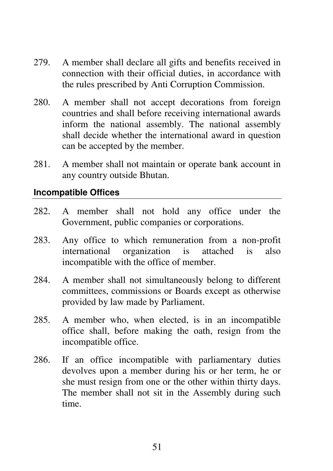- 279. A member shall declare all gifts and benefits received in connection with their official duties, in accordance with the rules prescribed by Anti Corruption Commission.
- 280. A member shall not accept decorations from foreign countries and shall before receiving international awards inform the national assembly. The national assembly shall decide whether the international award in question can be accepted by the member.
- 281. A member shall not maintain or operate bank account in any country outside Bhutan.

### **Incompatible Offices**

- 282. A member shall not hold any office under the Government, public companies or corporations.
- 283. Any office to which remuneration from a non-profit international organization is attached is also incompatible with the office of member.
- 284. A member shall not simultaneously belong to different committees, commissions or Boards except as otherwise provided by law made by Parliament.
- 285. A member who, when elected, is in an incompatible office shall, before making the oath, resign from the incompatible office.
- 286. If an office incompatible with parliamentary duties devolves upon a member during his or her term, he or she must resign from one or the other within thirty days. The member shall not sit in the Assembly during such time.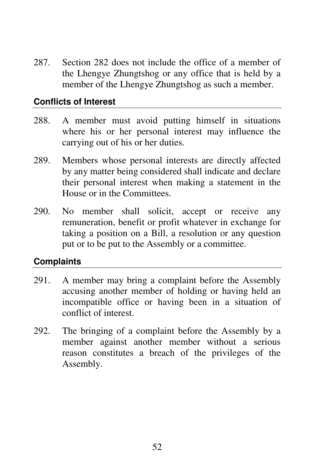287. Section 282 does not include the office of a member of the Lhengye Zhungtshog or any office that is held by a member of the Lhengye Zhungtshog as such a member.

### **Conflicts of Interest**

- 288. A member must avoid putting himself in situations where his or her personal interest may influence the carrying out of his or her duties.
- 289. Members whose personal interests are directly affected by any matter being considered shall indicate and declare their personal interest when making a statement in the House or in the Committees.
- 290. No member shall solicit, accept or receive any remuneration, benefit or profit whatever in exchange for taking a position on a Bill, a resolution or any question put or to be put to the Assembly or a committee.

### **Complaints**

- 291. A member may bring a complaint before the Assembly accusing another member of holding or having held an incompatible office or having been in a situation of conflict of interest.
- 292. The bringing of a complaint before the Assembly by a member against another member without a serious reason constitutes a breach of the privileges of the Assembly.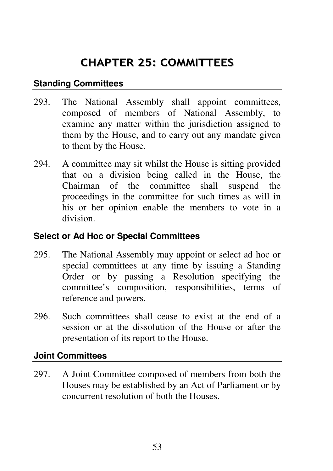# CHAPTER 25: COMMITTEES

### **Standing Committees**

- 293. The National Assembly shall appoint committees, composed of members of National Assembly, to examine any matter within the jurisdiction assigned to them by the House, and to carry out any mandate given to them by the House.
- 294. A committee may sit whilst the House is sitting provided that on a division being called in the House, the Chairman of the committee shall suspend the proceedings in the committee for such times as will in his or her opinion enable the members to vote in a division.

### **Select or Ad Hoc or Special Committees**

- 295. The National Assembly may appoint or select ad hoc or special committees at any time by issuing a Standing Order or by passing a Resolution specifying the committee's composition, responsibilities, terms of reference and powers.
- 296. Such committees shall cease to exist at the end of a session or at the dissolution of the House or after the presentation of its report to the House.

### **Joint Committees**

297. A Joint Committee composed of members from both the Houses may be established by an Act of Parliament or by concurrent resolution of both the Houses.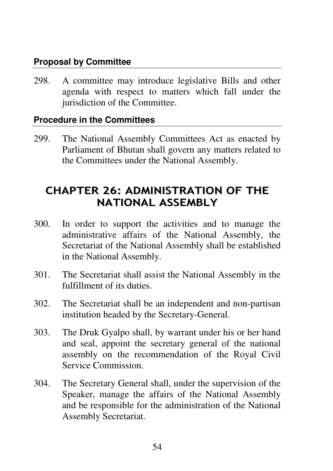### **Proposal by Committee**

298. A committee may introduce legislative Bills and other agenda with respect to matters which fall under the jurisdiction of the Committee.

### **Procedure in the Committees**

299. The National Assembly Committees Act as enacted by Parliament of Bhutan shall govern any matters related to the Committees under the National Assembly.

# CHAPTER 26: ADMINISTRATION OF THE NATIONAL ASSEMBLY

- 300. In order to support the activities and to manage the administrative affairs of the National Assembly, the Secretariat of the National Assembly shall be established in the National Assembly.
- 301. The Secretariat shall assist the National Assembly in the fulfillment of its duties.
- 302. The Secretariat shall be an independent and non-partisan institution headed by the Secretary-General.
- 303. The Druk Gyalpo shall, by warrant under his or her hand and seal, appoint the secretary general of the national assembly on the recommendation of the Royal Civil Service Commission.
- 304. The Secretary General shall, under the supervision of the Speaker, manage the affairs of the National Assembly and be responsible for the administration of the National Assembly Secretariat.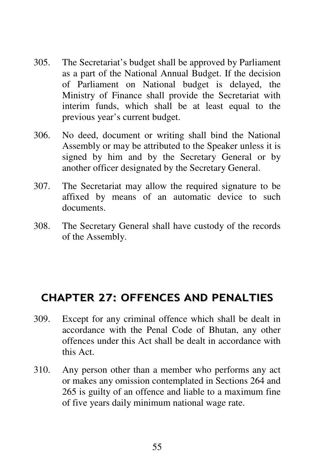- 305. The Secretariat's budget shall be approved by Parliament as a part of the National Annual Budget. If the decision of Parliament on National budget is delayed, the Ministry of Finance shall provide the Secretariat with interim funds, which shall be at least equal to the previous year's current budget.
- 306. No deed, document or writing shall bind the National Assembly or may be attributed to the Speaker unless it is signed by him and by the Secretary General or by another officer designated by the Secretary General.
- 307. The Secretariat may allow the required signature to be affixed by means of an automatic device to such documents.
- 308. The Secretary General shall have custody of the records of the Assembly.

# CHAPTER 27: OFFENCES AND PENALTIES

- 309. Except for any criminal offence which shall be dealt in accordance with the Penal Code of Bhutan, any other offences under this Act shall be dealt in accordance with this Act.
- 310. Any person other than a member who performs any act or makes any omission contemplated in Sections 264 and 265 is guilty of an offence and liable to a maximum fine of five years daily minimum national wage rate.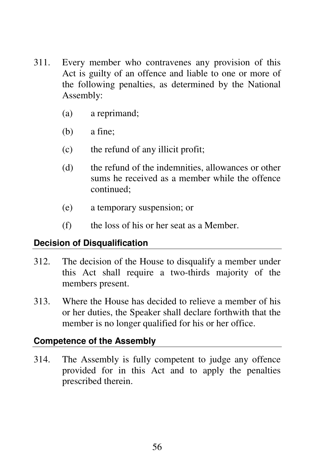- 311. Every member who contravenes any provision of this Act is guilty of an offence and liable to one or more of the following penalties, as determined by the National Assembly:
	- (a) a reprimand;
	- (b) a fine;
	- (c) the refund of any illicit profit;
	- (d) the refund of the indemnities, allowances or other sums he received as a member while the offence continued;
	- (e) a temporary suspension; or
	- (f) the loss of his or her seat as a Member.

# **Decision of Disqualification**

- 312. The decision of the House to disqualify a member under this Act shall require a two-thirds majority of the members present.
- 313. Where the House has decided to relieve a member of his or her duties, the Speaker shall declare forthwith that the member is no longer qualified for his or her office.

# **Competence of the Assembly**

314. The Assembly is fully competent to judge any offence provided for in this Act and to apply the penalties prescribed therein.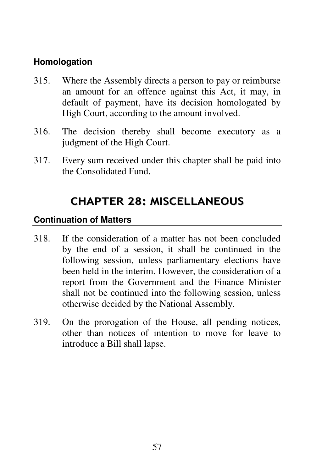# **Homologation**

- 315. Where the Assembly directs a person to pay or reimburse an amount for an offence against this Act, it may, in default of payment, have its decision homologated by High Court, according to the amount involved.
- 316. The decision thereby shall become executory as a judgment of the High Court.
- 317. Every sum received under this chapter shall be paid into the Consolidated Fund.

# CHAPTER 28: MISCELLANEOUS

### **Continuation of Matters**

- 318. If the consideration of a matter has not been concluded by the end of a session, it shall be continued in the following session, unless parliamentary elections have been held in the interim. However, the consideration of a report from the Government and the Finance Minister shall not be continued into the following session, unless otherwise decided by the National Assembly.
- 319. On the prorogation of the House, all pending notices, other than notices of intention to move for leave to introduce a Bill shall lapse.